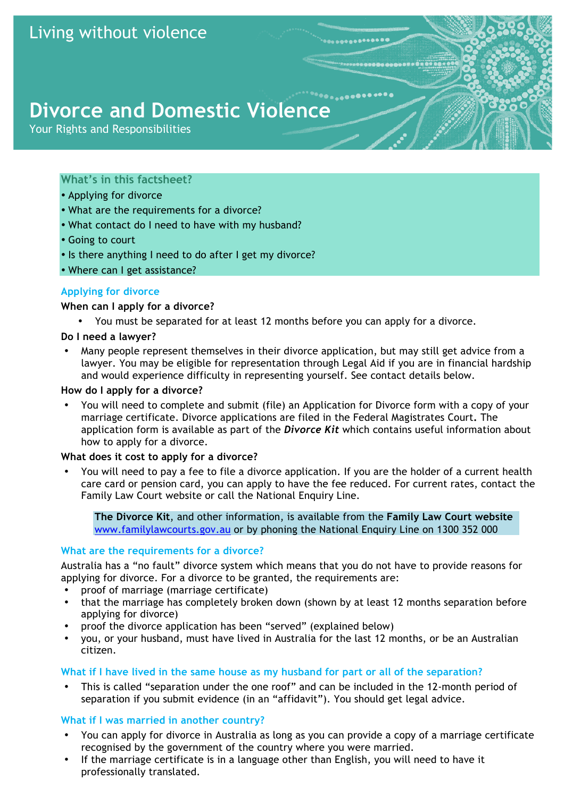# Living without violence

# **Divorce and Domestic Violence**

Your Rights and Responsibilities

# **What's in this factsheet?**

- Applying for divorce
- What are the requirements for a divorce?
- What contact do I need to have with my husband?
- Going to court
- Is there anything I need to do after I get my divorce?
- Where can I get assistance?

# **Applying for divorce**

#### **When can I apply for a divorce?**

• You must be separated for at least 12 months before you can apply for a divorce.

#### **Do I need a lawyer?**

• Many people represent themselves in their divorce application, but may still get advice from a lawyer. You may be eligible for representation through Legal Aid if you are in financial hardship and would experience difficulty in representing yourself. See contact details below.

#### **How do I apply for a divorce?**

• You will need to complete and submit (file) an Application for Divorce form with a copy of your marriage certificate. Divorce applications are filed in the Federal Magistrates Court**.** The application form is available as part of the *Divorce Kit* which contains useful information about how to apply for a divorce.

#### **What does it cost to apply for a divorce?**

• You will need to pay a fee to file a divorce application. If you are the holder of a current health care card or pension card, you can apply to have the fee reduced. For current rates, contact the Family Law Court website or call the National Enquiry Line.

**The Divorce Kit**, and other information, is available from the **Family Law Court website** www.familylawcourts.gov.au or by phoning the National Enquiry Line on 1300 352 000

# **What are the requirements for a divorce?**

Australia has a "no fault" divorce system which means that you do not have to provide reasons for applying for divorce. For a divorce to be granted, the requirements are:

- proof of marriage (marriage certificate)
- that the marriage has completely broken down (shown by at least 12 months separation before applying for divorce)
- proof the divorce application has been "served" (explained below)
- you, or your husband, must have lived in Australia for the last 12 months, or be an Australian citizen.

#### **What if I have lived in the same house as my husband for part or all of the separation?**

• This is called "separation under the one roof" and can be included in the 12-month period of separation if you submit evidence (in an "affidavit"). You should get legal advice.

# **What if I was married in another country?**

- You can apply for divorce in Australia as long as you can provide a copy of a marriage certificate recognised by the government of the country where you were married.
- If the marriage certificate is in a language other than English, you will need to have it professionally translated.